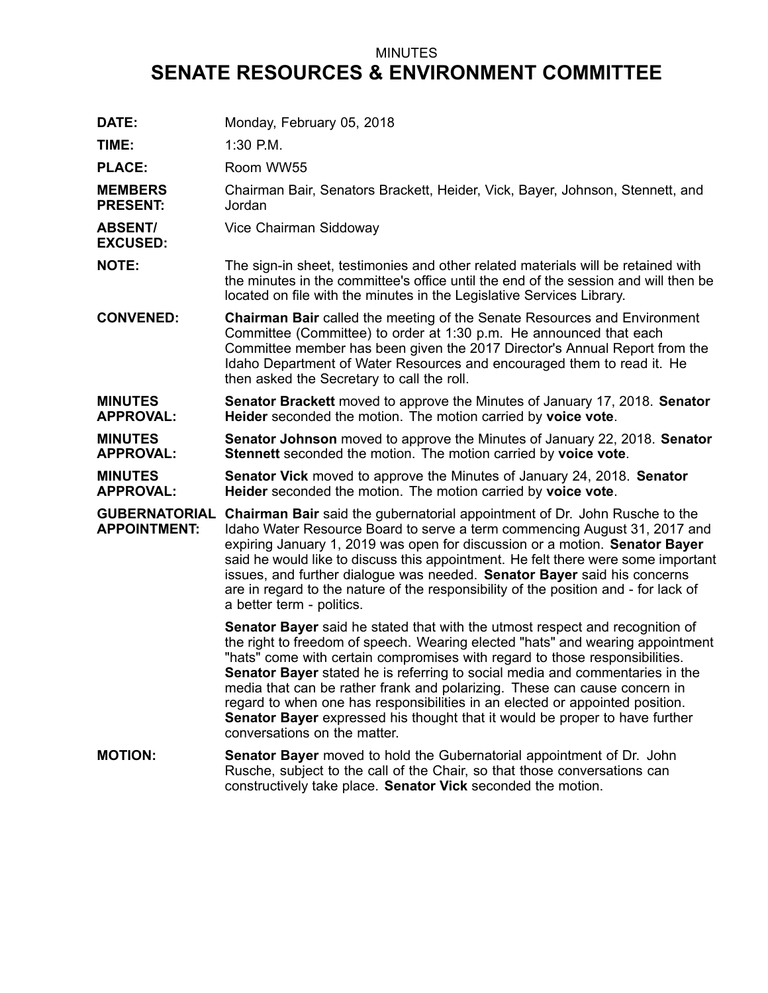## MINUTES **SENATE RESOURCES & ENVIRONMENT COMMITTEE**

| DATE:                              | Monday, February 05, 2018                                                                                                                                                                                                                                                                                                                                                                                                                                                                                                                                                                                        |
|------------------------------------|------------------------------------------------------------------------------------------------------------------------------------------------------------------------------------------------------------------------------------------------------------------------------------------------------------------------------------------------------------------------------------------------------------------------------------------------------------------------------------------------------------------------------------------------------------------------------------------------------------------|
| TIME:                              | 1:30 P.M.                                                                                                                                                                                                                                                                                                                                                                                                                                                                                                                                                                                                        |
| <b>PLACE:</b>                      | Room WW55                                                                                                                                                                                                                                                                                                                                                                                                                                                                                                                                                                                                        |
| <b>MEMBERS</b><br><b>PRESENT:</b>  | Chairman Bair, Senators Brackett, Heider, Vick, Bayer, Johnson, Stennett, and<br>Jordan                                                                                                                                                                                                                                                                                                                                                                                                                                                                                                                          |
| <b>ABSENT/</b><br><b>EXCUSED:</b>  | Vice Chairman Siddoway                                                                                                                                                                                                                                                                                                                                                                                                                                                                                                                                                                                           |
| <b>NOTE:</b>                       | The sign-in sheet, testimonies and other related materials will be retained with<br>the minutes in the committee's office until the end of the session and will then be<br>located on file with the minutes in the Legislative Services Library.                                                                                                                                                                                                                                                                                                                                                                 |
| <b>CONVENED:</b>                   | <b>Chairman Bair</b> called the meeting of the Senate Resources and Environment<br>Committee (Committee) to order at 1:30 p.m. He announced that each<br>Committee member has been given the 2017 Director's Annual Report from the<br>Idaho Department of Water Resources and encouraged them to read it. He<br>then asked the Secretary to call the roll.                                                                                                                                                                                                                                                      |
| <b>MINUTES</b><br><b>APPROVAL:</b> | Senator Brackett moved to approve the Minutes of January 17, 2018. Senator<br>Heider seconded the motion. The motion carried by voice vote.                                                                                                                                                                                                                                                                                                                                                                                                                                                                      |
| <b>MINUTES</b><br><b>APPROVAL:</b> | <b>Senator Johnson</b> moved to approve the Minutes of January 22, 2018. Senator<br>Stennett seconded the motion. The motion carried by voice vote.                                                                                                                                                                                                                                                                                                                                                                                                                                                              |
| <b>MINUTES</b><br><b>APPROVAL:</b> | <b>Senator Vick</b> moved to approve the Minutes of January 24, 2018. Senator<br>Heider seconded the motion. The motion carried by voice vote.                                                                                                                                                                                                                                                                                                                                                                                                                                                                   |
| <b>APPOINTMENT:</b>                | <b>GUBERNATORIAL Chairman Bair</b> said the gubernatorial appointment of Dr. John Rusche to the<br>Idaho Water Resource Board to serve a term commencing August 31, 2017 and<br>expiring January 1, 2019 was open for discussion or a motion. Senator Bayer<br>said he would like to discuss this appointment. He felt there were some important<br>issues, and further dialogue was needed. Senator Bayer said his concerns<br>are in regard to the nature of the responsibility of the position and - for lack of<br>a better term - politics.                                                                 |
|                                    | <b>Senator Bayer</b> said he stated that with the utmost respect and recognition of<br>the right to freedom of speech. Wearing elected "hats" and wearing appointment<br>"hats" come with certain compromises with regard to those responsibilities.<br>Senator Bayer stated he is referring to social media and commentaries in the<br>media that can be rather frank and polarizing. These can cause concern in<br>regard to when one has responsibilities in an elected or appointed position.<br>Senator Bayer expressed his thought that it would be proper to have further<br>conversations on the matter. |
| <b>MOTION:</b>                     | <b>Senator Bayer</b> moved to hold the Gubernatorial appointment of Dr. John<br>Rusche, subject to the call of the Chair, so that those conversations can<br>constructively take place. Senator Vick seconded the motion.                                                                                                                                                                                                                                                                                                                                                                                        |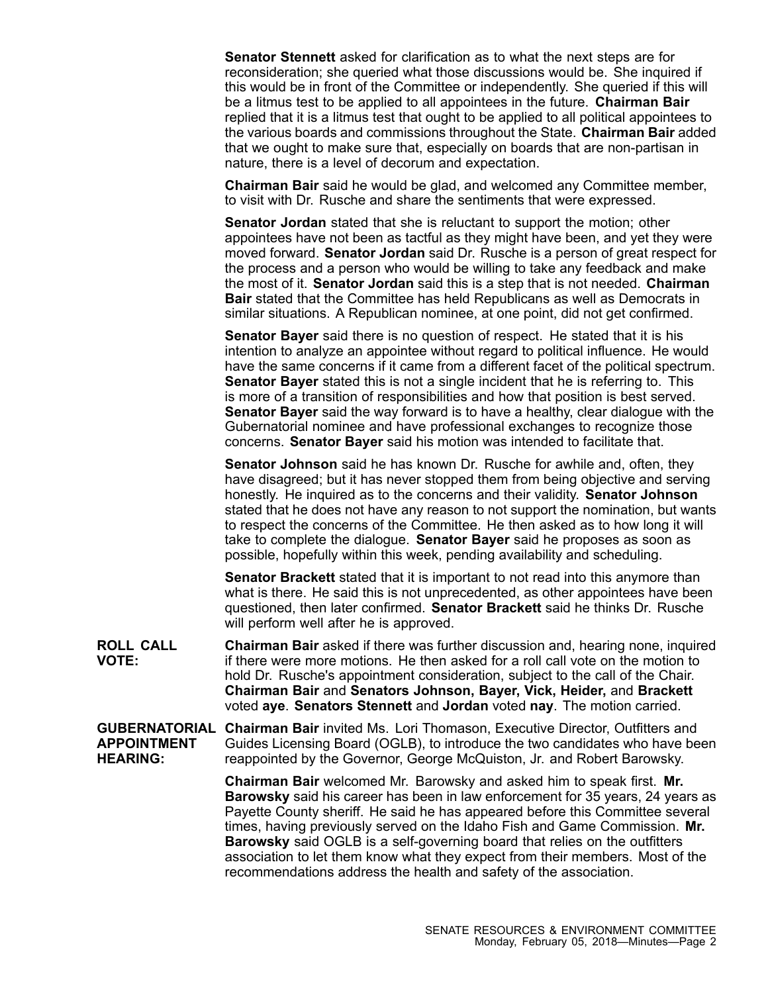**Senator Stennett** asked for clarification as to what the next steps are for reconsideration; she queried what those discussions would be. She inquired if this would be in front of the Committee or independently. She queried if this will be <sup>a</sup> litmus test to be applied to all appointees in the future. **Chairman Bair** replied that it is <sup>a</sup> litmus test that ought to be applied to all political appointees to the various boards and commissions throughout the State. **Chairman Bair** added that we ought to make sure that, especially on boards that are non-partisan in nature, there is <sup>a</sup> level of decorum and expectation.

**Chairman Bair** said he would be glad, and welcomed any Committee member, to visit with Dr. Rusche and share the sentiments that were expressed.

**Senator Jordan** stated that she is reluctant to support the motion; other appointees have not been as tactful as they might have been, and yet they were moved forward. **Senator Jordan** said Dr. Rusche is <sup>a</sup> person of great respect for the process and <sup>a</sup> person who would be willing to take any feedback and make the most of it. **Senator Jordan** said this is <sup>a</sup> step that is not needed. **Chairman Bair** stated that the Committee has held Republicans as well as Democrats in similar situations. A Republican nominee, at one point, did not get confirmed.

**Senator Bayer** said there is no question of respect. He stated that it is his intention to analyze an appointee without regard to political influence. He would have the same concerns if it came from <sup>a</sup> different facet of the political spectrum. **Senator Bayer** stated this is not <sup>a</sup> single incident that he is referring to. This is more of <sup>a</sup> transition of responsibilities and how that position is best served. **Senator Bayer** said the way forward is to have <sup>a</sup> healthy, clear dialogue with the Gubernatorial nominee and have professional exchanges to recognize those concerns. **Senator Bayer** said his motion was intended to facilitate that.

**Senator Johnson** said he has known Dr. Rusche for awhile and, often, they have disagreed; but it has never stopped them from being objective and serving honestly. He inquired as to the concerns and their validity. **Senator Johnson** stated that he does not have any reason to not support the nomination, but wants to respect the concerns of the Committee. He then asked as to how long it will take to complete the dialogue. **Senator Bayer** said he proposes as soon as possible, hopefully within this week, pending availability and scheduling.

**Senator Brackett** stated that it is important to not read into this anymore than what is there. He said this is not unprecedented, as other appointees have been questioned, then later confirmed. **Senator Brackett** said he thinks Dr. Rusche will perform well after he is approved.

**ROLL CALL VOTE: Chairman Bair** asked if there was further discussion and, hearing none, inquired if there were more motions. He then asked for a roll call vote on the motion to hold Dr. Rusche's appointment consideration, subject to the call of the Chair. **Chairman Bair** and **Senators Johnson, Bayer, Vick, Heider,** and **Brackett** voted **aye**. **Senators Stennett** and **Jordan** voted **nay**. The motion carried.

**GUBERNATORIAL Chairman Bair** invited Ms. Lori Thomason, Executive Director, Outfitters and **APPOINTMENT HEARING:** Guides Licensing Board (OGLB), to introduce the two candidates who have been reappointed by the Governor, George McQuiston, Jr. and Robert Barowsky.

> **Chairman Bair** welcomed Mr. Barowsky and asked him to speak first. **Mr. Barowsky** said his career has been in law enforcement for 35 years, 24 years as Payette County sheriff. He said he has appeared before this Committee several times, having previously served on the Idaho Fish and Game Commission. **Mr. Barowsky** said OGLB is <sup>a</sup> self-governing board that relies on the outfitters association to let them know what they expect from their members. Most of the recommendations address the health and safety of the association.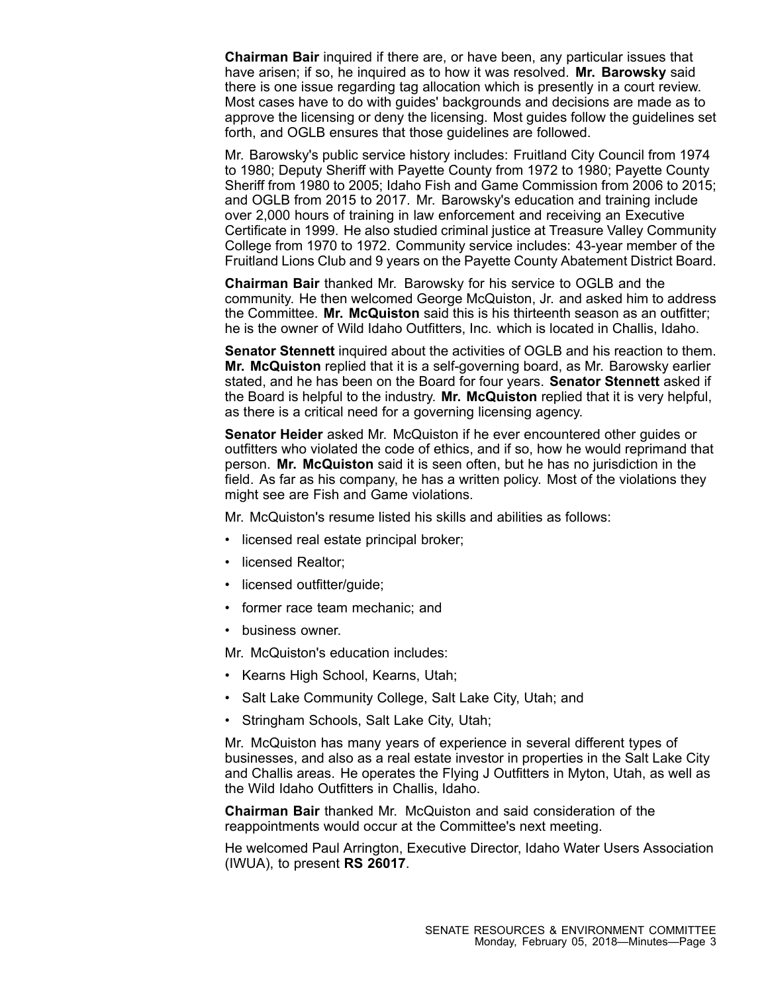**Chairman Bair** inquired if there are, or have been, any particular issues that have arisen; if so, he inquired as to how it was resolved. **Mr. Barowsky** said there is one issue regarding tag allocation which is presently in <sup>a</sup> court review. Most cases have to do with guides' backgrounds and decisions are made as to approve the licensing or deny the licensing. Most guides follow the guidelines set forth, and OGLB ensures that those guidelines are followed.

Mr. Barowsky's public service history includes: Fruitland City Council from 1974 to 1980; Deputy Sheriff with Payette County from 1972 to 1980; Payette County Sheriff from 1980 to 2005; Idaho Fish and Game Commission from 2006 to 2015; and OGLB from 2015 to 2017. Mr. Barowsky's education and training include over 2,000 hours of training in law enforcement and receiving an Executive Certificate in 1999. He also studied criminal justice at Treasure Valley Community College from 1970 to 1972. Community service includes: 43-year member of the Fruitland Lions Club and 9 years on the Payette County Abatement District Board.

**Chairman Bair** thanked Mr. Barowsky for his service to OGLB and the community. He then welcomed George McQuiston, Jr. and asked him to address the Committee. **Mr. McQuiston** said this is his thirteenth season as an outfitter; he is the owner of Wild Idaho Outfitters, Inc. which is located in Challis, Idaho.

**Senator Stennett** inquired about the activities of OGLB and his reaction to them. **Mr. McQuiston** replied that it is <sup>a</sup> self-governing board, as Mr. Barowsky earlier stated, and he has been on the Board for four years. **Senator Stennett** asked if the Board is helpful to the industry. **Mr. McQuiston** replied that it is very helpful, as there is <sup>a</sup> critical need for <sup>a</sup> governing licensing agency.

**Senator Heider** asked Mr. McQuiston if he ever encountered other guides or outfitters who violated the code of ethics, and if so, how he would reprimand that person. **Mr. McQuiston** said it is seen often, but he has no jurisdiction in the field. As far as his company, he has <sup>a</sup> written policy. Most of the violations they might see are Fish and Game violations.

Mr. McQuiston's resume listed his skills and abilities as follows:

- licensed real estate principal broker;
- licensed Realtor;
- licensed outfitter/guide;
- former race team mechanic; and
- business owner.

Mr. McQuiston's education includes:

- Kearns High School, Kearns, Utah;
- Salt Lake Community College, Salt Lake City, Utah; and
- •Stringham Schools, Salt Lake City, Utah;

Mr. McQuiston has many years of experience in several different types of businesses, and also as <sup>a</sup> real estate investor in properties in the Salt Lake City and Challis areas. He operates the Flying J Outfitters in Myton, Utah, as well as the Wild Idaho Outfitters in Challis, Idaho.

**Chairman Bair** thanked Mr. McQuiston and said consideration of the reappointments would occur at the Committee's next meeting.

He welcomed Paul Arrington, Executive Director, Idaho Water Users Association (IWUA), to present **RS 26017**.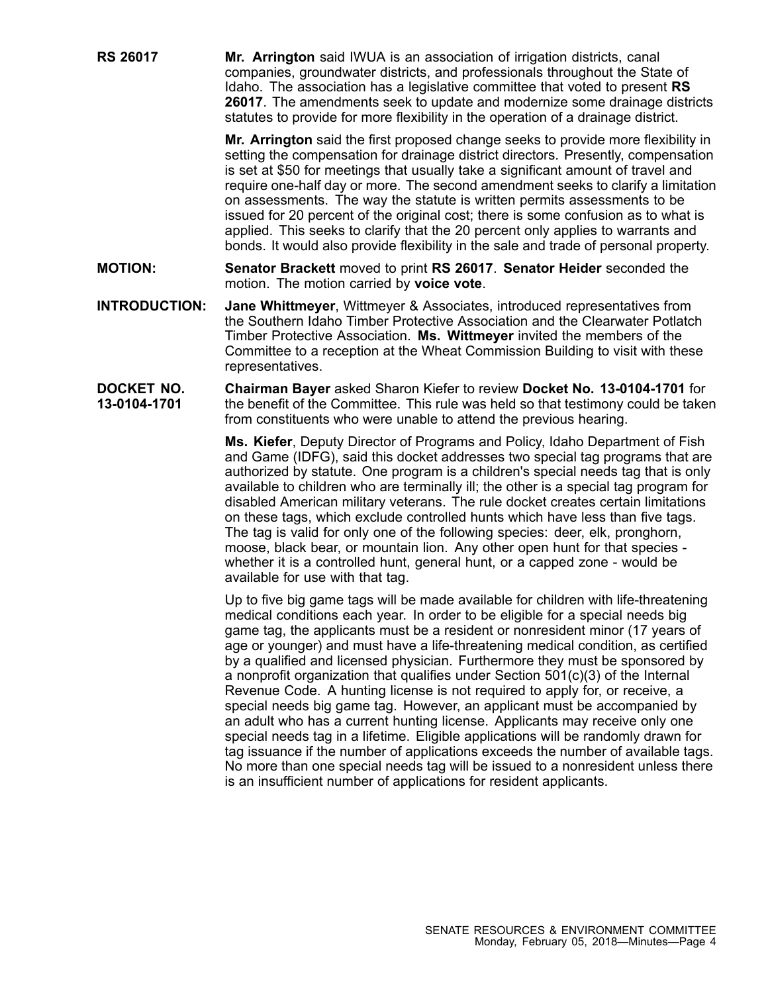**RS 26017 Mr. Arrington** said IWUA is an association of irrigation districts, canal companies, groundwater districts, and professionals throughout the State of Idaho. The association has <sup>a</sup> legislative committee that voted to present **RS 26017**. The amendments seek to update and modernize some drainage districts statutes to provide for more flexibility in the operation of <sup>a</sup> drainage district.

> **Mr. Arrington** said the first proposed change seeks to provide more flexibility in setting the compensation for drainage district directors. Presently, compensation is set at \$50 for meetings that usually take <sup>a</sup> significant amount of travel and require one-half day or more. The second amendment seeks to clarify <sup>a</sup> limitation on assessments. The way the statute is written permits assessments to be issued for 20 percent of the original cost; there is some confusion as to what is applied. This seeks to clarify that the 20 percent only applies to warrants and bonds. It would also provide flexibility in the sale and trade of personal property.

- **MOTION: Senator Brackett** moved to print **RS 26017**. **Senator Heider** seconded the motion. The motion carried by **voice vote**.
- **INTRODUCTION: Jane Whittmeyer**, Wittmeyer & Associates, introduced representatives from the Southern Idaho Timber Protective Association and the Clearwater Potlatch Timber Protective Association. **Ms. Wittmeyer** invited the members of the Committee to <sup>a</sup> reception at the Wheat Commission Building to visit with these representatives.
- **DOCKET NO. 13-0104-1701 Chairman Bayer** asked Sharon Kiefer to review **Docket No. 13-0104-1701** for the benefit of the Committee. This rule was held so that testimony could be taken from constituents who were unable to attend the previous hearing.

**Ms. Kiefer**, Deputy Director of Programs and Policy, Idaho Department of Fish and Game (IDFG), said this docket addresses two special tag programs that are authorized by statute. One program is <sup>a</sup> children's special needs tag that is only available to children who are terminally ill; the other is <sup>a</sup> special tag program for disabled American military veterans. The rule docket creates certain limitations on these tags, which exclude controlled hunts which have less than five tags. The tag is valid for only one of the following species: deer, elk, pronghorn, moose, black bear, or mountain lion. Any other open hunt for that species whether it is <sup>a</sup> controlled hunt, general hunt, or <sup>a</sup> capped zone - would be available for use with that tag.

Up to five big game tags will be made available for children with life-threatening medical conditions each year. In order to be eligible for <sup>a</sup> special needs big game tag, the applicants must be <sup>a</sup> resident or nonresident minor (17 years of age or younger) and must have <sup>a</sup> life-threatening medical condition, as certified by <sup>a</sup> qualified and licensed physician. Furthermore they must be sponsored by <sup>a</sup> nonprofit organization that qualifies under Section 501(c)(3) of the Internal Revenue Code. A hunting license is not required to apply for, or receive, <sup>a</sup> special needs big game tag. However, an applicant must be accompanied by an adult who has <sup>a</sup> current hunting license. Applicants may receive only one special needs tag in <sup>a</sup> lifetime. Eligible applications will be randomly drawn for tag issuance if the number of applications exceeds the number of available tags. No more than one special needs tag will be issued to <sup>a</sup> nonresident unless there is an insufficient number of applications for resident applicants.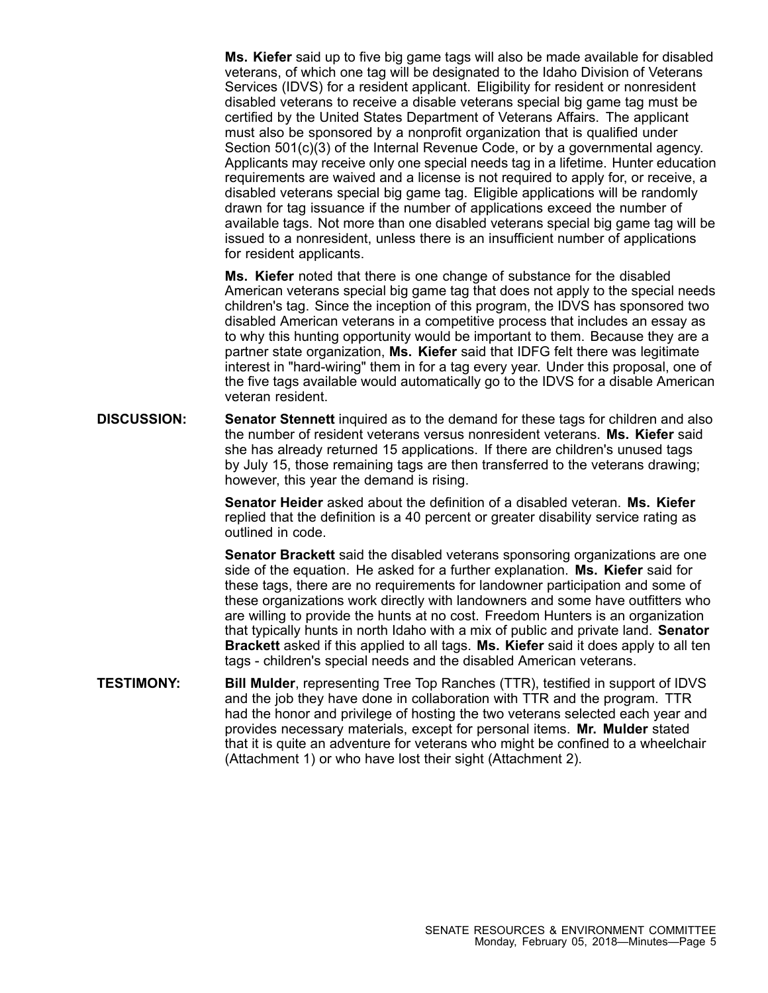**Ms. Kiefer** said up to five big game tags will also be made available for disabled veterans, of which one tag will be designated to the Idaho Division of Veterans Services (IDVS) for <sup>a</sup> resident applicant. Eligibility for resident or nonresident disabled veterans to receive <sup>a</sup> disable veterans special big game tag must be certified by the United States Department of Veterans Affairs. The applicant must also be sponsored by <sup>a</sup> nonprofit organization that is qualified under Section 501(c)(3) of the Internal Revenue Code, or by <sup>a</sup> governmental agency. Applicants may receive only one special needs tag in <sup>a</sup> lifetime. Hunter education requirements are waived and <sup>a</sup> license is not required to apply for, or receive, <sup>a</sup> disabled veterans special big game tag. Eligible applications will be randomly drawn for tag issuance if the number of applications exceed the number of available tags. Not more than one disabled veterans special big game tag will be issued to <sup>a</sup> nonresident, unless there is an insufficient number of applications for resident applicants.

**Ms. Kiefer** noted that there is one change of substance for the disabled American veterans special big game tag that does not apply to the special needs children's tag. Since the inception of this program, the IDVS has sponsored two disabled American veterans in <sup>a</sup> competitive process that includes an essay as to why this hunting opportunity would be important to them. Because they are <sup>a</sup> partner state organization, **Ms. Kiefer** said that IDFG felt there was legitimate interest in "hard-wiring" them in for <sup>a</sup> tag every year. Under this proposal, one of the five tags available would automatically go to the IDVS for <sup>a</sup> disable American veteran resident.

**DISCUSSION: Senator Stennett** inquired as to the demand for these tags for children and also the number of resident veterans versus nonresident veterans. **Ms. Kiefer** said she has already returned 15 applications. If there are children's unused tags by July 15, those remaining tags are then transferred to the veterans drawing; however, this year the demand is rising.

> **Senator Heider** asked about the definition of a disabled veteran. **Ms. Kiefer** replied that the definition is <sup>a</sup> 40 percent or greater disability service rating as outlined in code.

**Senator Brackett** said the disabled veterans sponsoring organizations are one side of the equation. He asked for <sup>a</sup> further explanation. **Ms. Kiefer** said for these tags, there are no requirements for landowner participation and some of these organizations work directly with landowners and some have outfitters who are willing to provide the hunts at no cost. Freedom Hunters is an organization that typically hunts in north Idaho with <sup>a</sup> mix of public and private land. **Senator Brackett** asked if this applied to all tags. **Ms. Kiefer** said it does apply to all ten tags - children's special needs and the disabled American veterans.

**TESTIMONY: Bill Mulder**, representing Tree Top Ranches (TTR), testified in support of IDVS and the job they have done in collaboration with TTR and the program. TTR had the honor and privilege of hosting the two veterans selected each year and provides necessary materials, except for personal items. **Mr. Mulder** stated that it is quite an adventure for veterans who might be confined to <sup>a</sup> wheelchair (Attachment 1) or who have lost their sight (Attachment 2).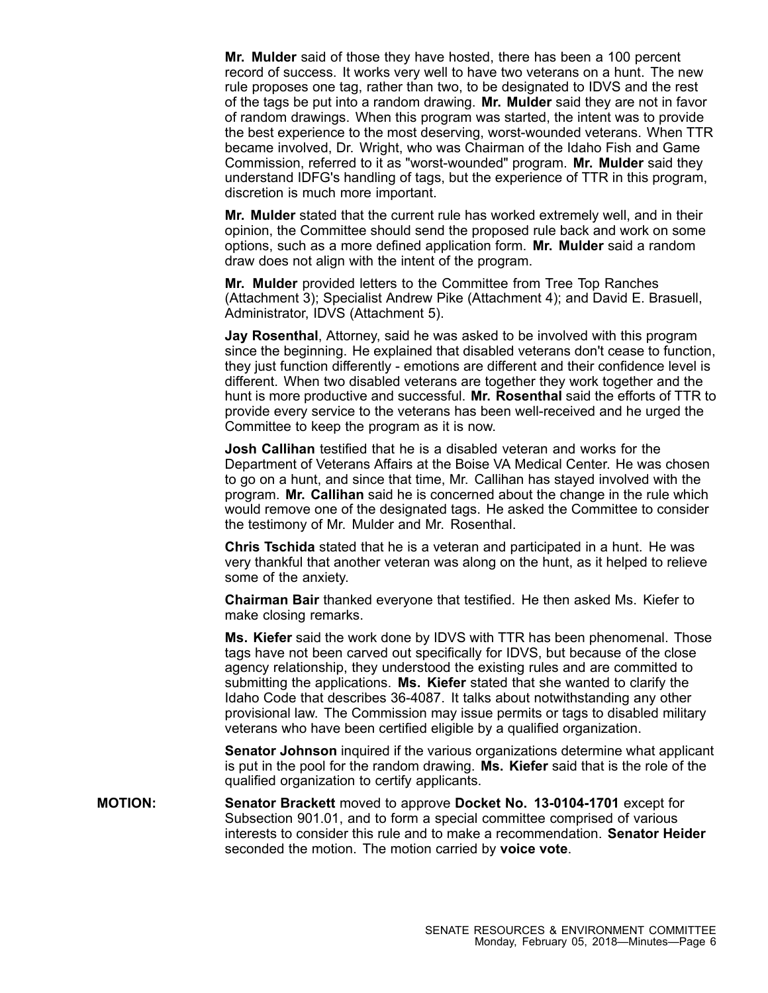**Mr. Mulder** said of those they have hosted, there has been <sup>a</sup> 100 percent record of success. It works very well to have two veterans on <sup>a</sup> hunt. The new rule proposes one tag, rather than two, to be designated to IDVS and the rest of the tags be put into <sup>a</sup> random drawing. **Mr. Mulder** said they are not in favor of random drawings. When this program was started, the intent was to provide the best experience to the most deserving, worst-wounded veterans. When TTR became involved, Dr. Wright, who was Chairman of the Idaho Fish and Game Commission, referred to it as "worst-wounded" program. **Mr. Mulder** said they understand IDFG's handling of tags, but the experience of TTR in this program, discretion is much more important.

**Mr. Mulder** stated that the current rule has worked extremely well, and in their opinion, the Committee should send the proposed rule back and work on some options, such as <sup>a</sup> more defined application form. **Mr. Mulder** said <sup>a</sup> random draw does not align with the intent of the program.

**Mr. Mulder** provided letters to the Committee from Tree Top Ranches (Attachment 3); Specialist Andrew Pike (Attachment 4); and David E. Brasuell, Administrator, IDVS (Attachment 5).

**Jay Rosenthal**, Attorney, said he was asked to be involved with this program since the beginning. He explained that disabled veterans don't cease to function, they just function differently - emotions are different and their confidence level is different. When two disabled veterans are together they work together and the hunt is more productive and successful. **Mr. Rosenthal** said the efforts of TTR to provide every service to the veterans has been well-received and he urged the Committee to keep the program as it is now.

**Josh Callihan** testified that he is a disabled veteran and works for the Department of Veterans Affairs at the Boise VA Medical Center. He was chosen to go on <sup>a</sup> hunt, and since that time, Mr. Callihan has stayed involved with the program. **Mr. Callihan** said he is concerned about the change in the rule which would remove one of the designated tags. He asked the Committee to consider the testimony of Mr. Mulder and Mr. Rosenthal.

**Chris Tschida** stated that he is <sup>a</sup> veteran and participated in <sup>a</sup> hunt. He was very thankful that another veteran was along on the hunt, as it helped to relieve some of the anxiety.

**Chairman Bair** thanked everyone that testified. He then asked Ms. Kiefer to make closing remarks.

**Ms. Kiefer** said the work done by IDVS with TTR has been phenomenal. Those tags have not been carved out specifically for IDVS, but because of the close agency relationship, they understood the existing rules and are committed to submitting the applications. **Ms. Kiefer** stated that she wanted to clarify the Idaho Code that describes 36-4087. It talks about notwithstanding any other provisional law. The Commission may issue permits or tags to disabled military veterans who have been certified eligible by <sup>a</sup> qualified organization.

**Senator Johnson** inquired if the various organizations determine what applicant is put in the pool for the random drawing. **Ms. Kiefer** said that is the role of the qualified organization to certify applicants.

**MOTION: Senator Brackett** moved to approve **Docket No. 13-0104-1701** except for Subsection 901.01, and to form <sup>a</sup> special committee comprised of various interests to consider this rule and to make a recommendation. **Senator Heider** seconded the motion. The motion carried by **voice vote**.